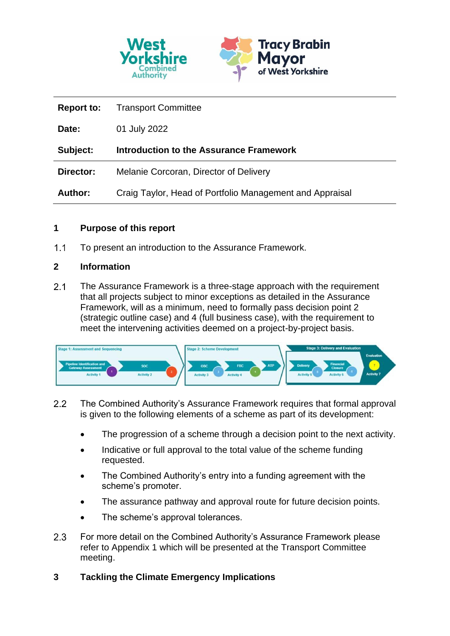

| <b>Report to:</b> | <b>Transport Committee</b>                               |
|-------------------|----------------------------------------------------------|
| Date:             | 01 July 2022                                             |
| Subject:          | <b>Introduction to the Assurance Framework</b>           |
| Director:         | Melanie Corcoran, Director of Delivery                   |
| <b>Author:</b>    | Craig Taylor, Head of Portfolio Management and Appraisal |

#### **1 Purpose of this report**

 $1.1$ To present an introduction to the Assurance Framework.

#### **2 Information**

 $2.1$ The Assurance Framework is a three-stage approach with the requirement that all projects subject to minor exceptions as detailed in the Assurance Framework, will as a minimum, need to formally pass decision point 2 (strategic outline case) and 4 (full business case), with the requirement to meet the intervening activities deemed on a project-by-project basis.



- $2.2$ The Combined Authority's Assurance Framework requires that formal approval is given to the following elements of a scheme as part of its development:
	- The progression of a scheme through a decision point to the next activity.
	- Indicative or full approval to the total value of the scheme funding requested.
	- The Combined Authority's entry into a funding agreement with the scheme's promoter.
	- The assurance pathway and approval route for future decision points.
	- The scheme's approval tolerances.
- 2.3 For more detail on the Combined Authority's Assurance Framework please refer to Appendix 1 which will be presented at the Transport Committee meeting.
- **3 Tackling the Climate Emergency Implications**